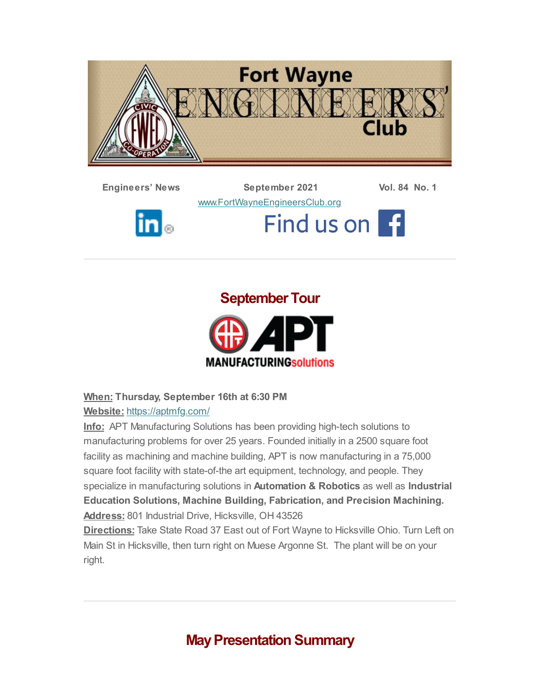

**Engineers' News September 2021 Vol. 84 No. 1**

[www.FortWayneEngineersClub.org](http://www.fortwayneengineersclub.org/)



Find us on 1



# **September Tour**



#### **When: Thursday, September 16th at 6:30 PM**

#### **Website:** <https://aptmfg.com/>

**Info:** APT Manufacturing Solutions has been providing high-tech solutions to manufacturing problems for over 25 years. Founded initially in a 2500 square foot facility as machining and machine building, APT is now manufacturing in a 75,000 square foot facility with state-of-the art equipment, technology, and people. They specialize in manufacturing solutions in **Automation & Robotics** as well as **Industrial Education Solutions, Machine Building, Fabrication, and Precision Machining. Address:** 801 Industrial Drive, Hicksville, OH 43526

**Directions:** Take State Road 37 East out of Fort Wayne to Hicksville Ohio. Turn Left on Main St in Hicksville, then turn right on Muese Argonne St. The plant will be on your right.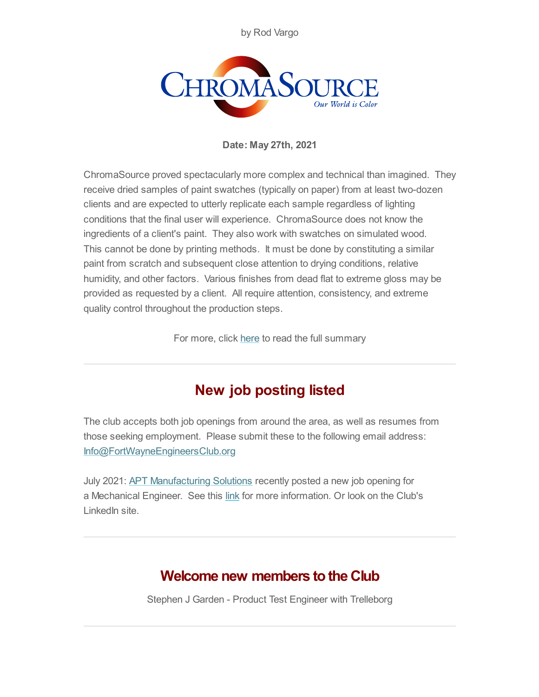by Rod Vargo



**Date: May 27th, 2021**

ChromaSource proved spectacularly more complex and technical than imagined. They receive dried samples of paint swatches (typically on paper) from at least two-dozen clients and are expected to utterly replicate each sample regardless of lighting conditions that the final user will experience. ChromaSource does not know the ingredients of a client's paint. They also work with swatches on simulated wood. This cannot be done by printing methods. It must be done by constituting a similar paint from scratch and subsequent close attention to drying conditions, relative humidity, and other factors. Various finishes from dead flat to extreme gloss may be provided as requested by a client. All require attention, consistency, and extreme quality control throughout the production steps.

For more, click [here](#page-4-0) to read the full summary

## **New job posting listed**

The club accepts both job openings from around the area, as well as resumes from those seeking employment. Please submit these to the following email address: [Info@FortWayneEngineersClub.org](mailto:info@fortwayneengineersclub.org)

July 2021: **APT [Manufacturing](https://aptmfg.com/) Solutions** recently posted a new job opening for a Mechanical Engineer. See this [link](https://secure4.entertimeonline.com/ta/6150467.careers?CareersSearch) for more information. Or look on the Club's LinkedIn site.

## **Welcome new members to the Club**

Stephen J Garden - Product Test Engineer with Trelleborg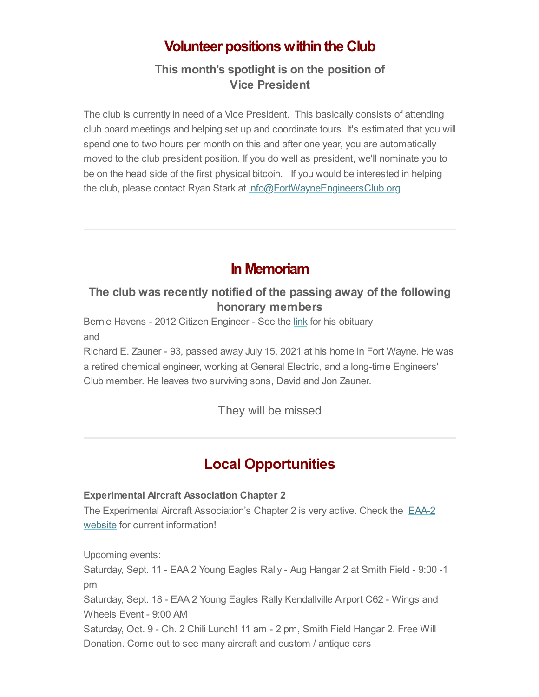### **Volunteer positions within the Club**

#### **This month's spotlight is on the position of Vice President**

The club is currently in need of a Vice President. This basically consists of attending club board meetings and helping set up and coordinate tours. It's estimated that you will spend one to two hours per month on this and after one year, you are automatically moved to the club president position. If you do well as president, we'll nominate you to be on the head side of the first physical bitcoin. If you would be interested in helping the club, please contact Ryan Stark at [Info@FortWayneEngineersClub.org](mailto:info@fortwayneengineersclub.org)

### **In Memoriam**

#### **The club was recently notified of the passing away of the following honorary members**

Bernie Havens - 2012 Citizen Engineer - See the [link](https://www.dignitymemorial.com/obituaries/fort-wayne-in/bernard-havens-10281735) for his obituary and

Richard E. Zauner - 93, passed away July 15, 2021 at his home in Fort Wayne. He was a retired chemical engineer, working at General Electric, and a long-time Engineers' Club member. He leaves two surviving sons, David and Jon Zauner.

They will be missed

## **Local Opportunities**

#### **Experimental Aircraft Association Chapter 2**

The Experimental Aircraft [Association's](https://www.eaa2.org/young_eagles.php) Chapter 2 is very active. Check the EAA-2 website for current information!

Upcoming events:

Saturday, Sept. 11 - EAA 2 Young Eagles Rally - Aug Hangar 2 at Smith Field - 9:00 -1 pm

Saturday, Sept. 18 - EAA 2 Young Eagles Rally Kendallville Airport C62 - Wings and Wheels Event - 9:00 AM

Saturday, Oct. 9 - Ch. 2 Chili Lunch! 11 am - 2 pm, Smith Field Hangar 2. Free Will Donation. Come out to see many aircraft and custom / antique cars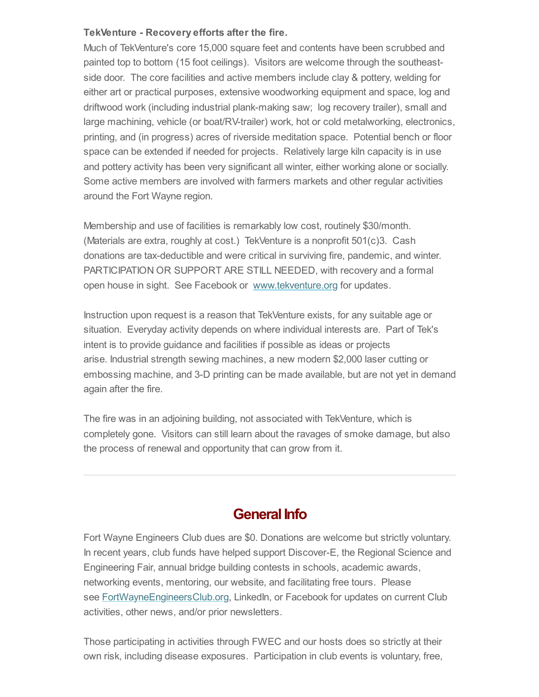#### **TekVenture - Recovery efforts after the fire.**

Much of TekVenture's core 15,000 square feet and contents have been scrubbed and painted top to bottom (15 foot ceilings). Visitors are welcome through the southeastside door. The core facilities and active members include clay & pottery, welding for either art or practical purposes, extensive woodworking equipment and space, log and driftwood work (including industrial plank-making saw; log recovery trailer), small and large machining, vehicle (or boat/RV-trailer) work, hot or cold metalworking, electronics, printing, and (in progress) acres of riverside meditation space. Potential bench or floor space can be extended if needed for projects. Relatively large kiln capacity is in use and pottery activity has been very significant all winter, either working alone or socially. Some active members are involved with farmers markets and other regular activities around the Fort Wayne region.

Membership and use of facilities is remarkably low cost, routinely \$30/month. (Materials are extra, roughly at cost.) TekVenture is a nonprofit 501(c)3. Cash donations are tax-deductible and were critical in surviving fire, pandemic, and winter. PARTICIPATION OR SUPPORT ARE STILL NEEDED, with recovery and a formal open house in sight. See Facebook or [www.tekventure.org](http://www.tekventure.org/) for updates.

Instruction upon request is a reason that TekVenture exists, for any suitable age or situation. Everyday activity depends on where individual interests are. Part of Tek's intent is to provide guidance and facilities if possible as ideas or projects arise. Industrial strength sewing machines, a new modern \$2,000 laser cutting or embossing machine, and 3-D printing can be made available, but are not yet in demand again after the fire.

The fire was in an adjoining building, not associated with TekVenture, which is completely gone. Visitors can still learn about the ravages of smoke damage, but also the process of renewal and opportunity that can grow from it.

#### **General Info**

Fort Wayne Engineers Club dues are \$0. Donations are welcome but strictly voluntary. In recent years, club funds have helped support Discover-E, the Regional Science and Engineering Fair, annual bridge building contests in schools, academic awards, networking events, mentoring, our website, and facilitating free tours. Please see **[FortWayneEngineersClub.org](http://fortwayneengineersclub.org/)**, LinkedIn, or Facebook for updates on current Club activities, other news, and/or prior newsletters.

Those participating in activities through FWEC and our hosts does so strictly at their own risk, including disease exposures. Participation in club events is voluntary, free,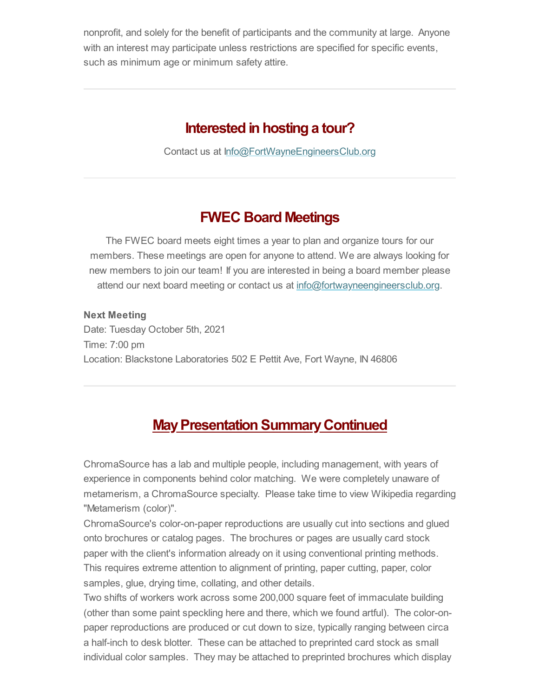nonprofit, and solely for the benefit of participants and the community at large. Anyone with an interest may participate unless restrictions are specified for specific events, such as minimum age or minimum safety attire.

### **Interested in hosting a tour?**

Contact us at [Info@FortWayneEngineersClub.org](mailto:info@fortwayneengineersclub.org)

### **FWEC Board Meetings**

The FWEC board meets eight times a year to plan and organize tours for our members. These meetings are open for anyone to attend. We are always looking for new members to join our team! If you are interested in being a board member please attend our next board meeting or contact us at [info@fortwayneengineersclub.org.](mailto:info@fortwayneengineersclub.org)

**Next Meeting** Date: Tuesday October 5th, 2021 Time: 7:00 pm Location: Blackstone Laboratories 502 E Pettit Ave, Fort Wayne, IN 46806

## <span id="page-4-0"></span>**May Presentation Summary Continued**

ChromaSource has a lab and multiple people, including management, with years of experience in components behind color matching. We were completely unaware of metamerism, a ChromaSource specialty. Please take time to view Wikipedia regarding "Metamerism (color)".

ChromaSource's color-on-paper reproductions are usually cut into sections and glued onto brochures or catalog pages. The brochures or pages are usually card stock paper with the client's information already on it using conventional printing methods. This requires extreme attention to alignment of printing, paper cutting, paper, color samples, glue, drying time, collating, and other details.

Two shifts of workers work across some 200,000 square feet of immaculate building (other than some paint speckling here and there, which we found artful). The color-onpaper reproductions are produced or cut down to size, typically ranging between circa a half-inch to desk blotter. These can be attached to preprinted card stock as small individual color samples. They may be attached to preprinted brochures which display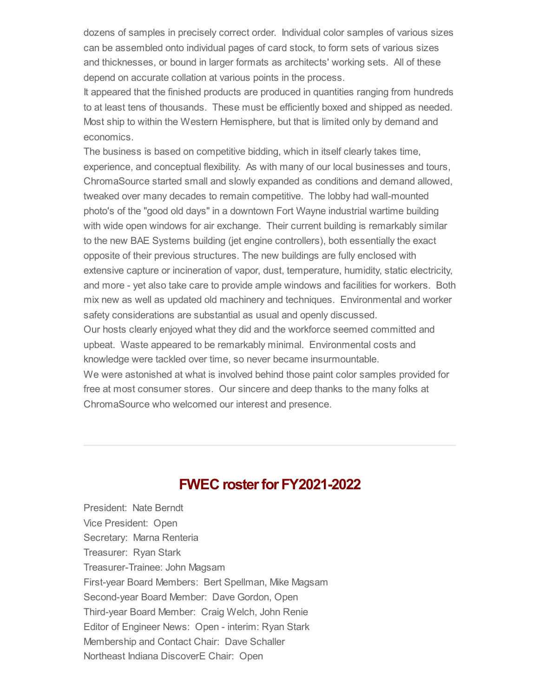dozens of samples in precisely correct order. Individual color samples of various sizes can be assembled onto individual pages of card stock, to form sets of various sizes and thicknesses, or bound in larger formats as architects' working sets. All of these depend on accurate collation at various points in the process.

It appeared that the finished products are produced in quantities ranging from hundreds to at least tens of thousands. These must be efficiently boxed and shipped as needed. Most ship to within the Western Hemisphere, but that is limited only by demand and economics.

The business is based on competitive bidding, which in itself clearly takes time, experience, and conceptual flexibility. As with many of our local businesses and tours, ChromaSource started small and slowly expanded as conditions and demand allowed, tweaked over many decades to remain competitive. The lobby had wall-mounted photo's of the "good old days" in a downtown Fort Wayne industrial wartime building with wide open windows for air exchange. Their current building is remarkably similar to the new BAE Systems building (jet engine controllers), both essentially the exact opposite of their previous structures. The new buildings are fully enclosed with extensive capture or incineration of vapor, dust, temperature, humidity, static electricity, and more - yet also take care to provide ample windows and facilities for workers. Both mix new as well as updated old machinery and techniques. Environmental and worker safety considerations are substantial as usual and openly discussed. Our hosts clearly enjoyed what they did and the workforce seemed committed and upbeat. Waste appeared to be remarkably minimal. Environmental costs and

knowledge were tackled over time, so never became insurmountable.

We were astonished at what is involved behind those paint color samples provided for free at most consumer stores. Our sincere and deep thanks to the many folks at ChromaSource who welcomed our interest and presence.

### **FWEC** roster for **FY2021-2022**

President: Nate Berndt Vice President: Open Secretary: Marna Renteria Treasurer: Ryan Stark Treasurer-Trainee: John Magsam First-year Board Members: Bert Spellman, Mike Magsam Second-year Board Member: Dave Gordon, Open Third-year Board Member: Craig Welch, John Renie Editor of Engineer News: Open - interim: Ryan Stark Membership and Contact Chair: Dave Schaller Northeast Indiana DiscoverE Chair: Open